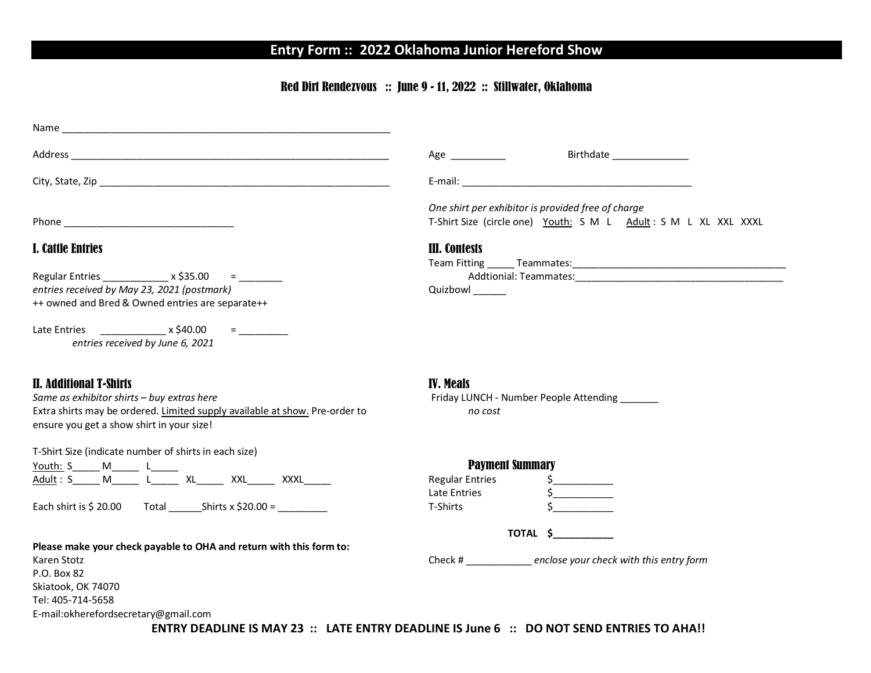# **Entry Form :: 2022 Oklahoma Junior Hereford Show**

### Red Dirt Rendezvous :: June 9 - 11, 2022 :: Stillwater, Oklahoma

|                                                                                                                                                                                                                                                                                                                                                                                            | Birthdate ________________<br>$Age \_$                                                                                                                                                                                         |  |  |  |  |
|--------------------------------------------------------------------------------------------------------------------------------------------------------------------------------------------------------------------------------------------------------------------------------------------------------------------------------------------------------------------------------------------|--------------------------------------------------------------------------------------------------------------------------------------------------------------------------------------------------------------------------------|--|--|--|--|
|                                                                                                                                                                                                                                                                                                                                                                                            | E-mail: E-mail: E-mail: E-mail: E-mail: E-mail: E-mail: E-mail: E-mail: E-mail: E-mail: E-mail: E-mail: E-mail: E-mail: E-mail: E-mail: E-mail: E-mail: E-mail: E-mail: E-mail: E-mail: E-mail: E-mail: E-mail: E-mail: E-mail |  |  |  |  |
|                                                                                                                                                                                                                                                                                                                                                                                            | One shirt per exhibitor is provided free of charge<br>T-Shirt Size (circle one) Youth: S M L Adult: S M L XL XXL XXXL                                                                                                          |  |  |  |  |
| <b>I. Cattle Entries</b>                                                                                                                                                                                                                                                                                                                                                                   | III. Contests                                                                                                                                                                                                                  |  |  |  |  |
| Regular Entries _______________ x \$35.00 = _______                                                                                                                                                                                                                                                                                                                                        |                                                                                                                                                                                                                                |  |  |  |  |
| entries received by May 23, 2021 (postmark)<br>++ owned and Bred & Owned entries are separate++                                                                                                                                                                                                                                                                                            | Quizbowl ______                                                                                                                                                                                                                |  |  |  |  |
| <b>E</b> and the state<br>entries received by June 6, 2021                                                                                                                                                                                                                                                                                                                                 |                                                                                                                                                                                                                                |  |  |  |  |
| <b>II. Additional T-Shirts</b><br>Same as exhibitor shirts - buy extras here<br>Extra shirts may be ordered. Limited supply available at show. Pre-order to<br>ensure you get a show shirt in your size!                                                                                                                                                                                   | <b>IV. Meals</b><br>Friday LUNCH - Number People Attending ______<br>no cost                                                                                                                                                   |  |  |  |  |
| T-Shirt Size (indicate number of shirts in each size)                                                                                                                                                                                                                                                                                                                                      |                                                                                                                                                                                                                                |  |  |  |  |
| $\underbrace{\text{Youth: S}\hspace{1.3cm}S\hspace{1.3cm}\hspace{1.3cm}\hspace{1.3cm}M\hspace{1.3cm}\hspace{1.3cm}L\hspace{1.3cm}\hspace{1.3cm}KL\hspace{1.3cm}\hspace{1.3cm}XXL\hspace{1.3cm}\hspace{1.3cm}XXL\hspace{1.3cm}\hspace{1.3cm}\hspace{1.3cm}XXL\hspace{1.3cm}\hspace{1.3cm}\hspace{1.3cm}XXL\hspace{1.3cm}\hspace{1.3cm}\hspace{1.3cm}XXL\hspace{1.3cm}\hspace{1.3cm}\hspace$ | <b>Payment Summary</b>                                                                                                                                                                                                         |  |  |  |  |
|                                                                                                                                                                                                                                                                                                                                                                                            | <b>Regular Entries</b><br>$\frac{1}{2}$<br>Late Entries<br>$\frac{1}{2}$                                                                                                                                                       |  |  |  |  |
|                                                                                                                                                                                                                                                                                                                                                                                            | T-Shirts                                                                                                                                                                                                                       |  |  |  |  |
|                                                                                                                                                                                                                                                                                                                                                                                            | <b>TOTAL \$</b>                                                                                                                                                                                                                |  |  |  |  |
| Please make your check payable to OHA and return with this form to:<br>Karen Stotz                                                                                                                                                                                                                                                                                                         | Check # ______________ enclose your check with this entry form                                                                                                                                                                 |  |  |  |  |
| P.O. Box 82                                                                                                                                                                                                                                                                                                                                                                                |                                                                                                                                                                                                                                |  |  |  |  |
| Skiatook, OK 74070                                                                                                                                                                                                                                                                                                                                                                         |                                                                                                                                                                                                                                |  |  |  |  |
| Tel: 405-714-5658                                                                                                                                                                                                                                                                                                                                                                          |                                                                                                                                                                                                                                |  |  |  |  |
| E-mail:okherefordsecretary@gmail.com                                                                                                                                                                                                                                                                                                                                                       |                                                                                                                                                                                                                                |  |  |  |  |
| CRITOV DEADURE IC 84AV 33 LATE ENTOY DEADURE IC L C.  DO NOT CEND ENTDIEC TO AUAU                                                                                                                                                                                                                                                                                                          |                                                                                                                                                                                                                                |  |  |  |  |

**ENTRY DEADLINE IS MAY 23 :: LATE ENTRY DEADLINE IS June 6 :: DO NOT SEND ENTRIES TO AHA!!**